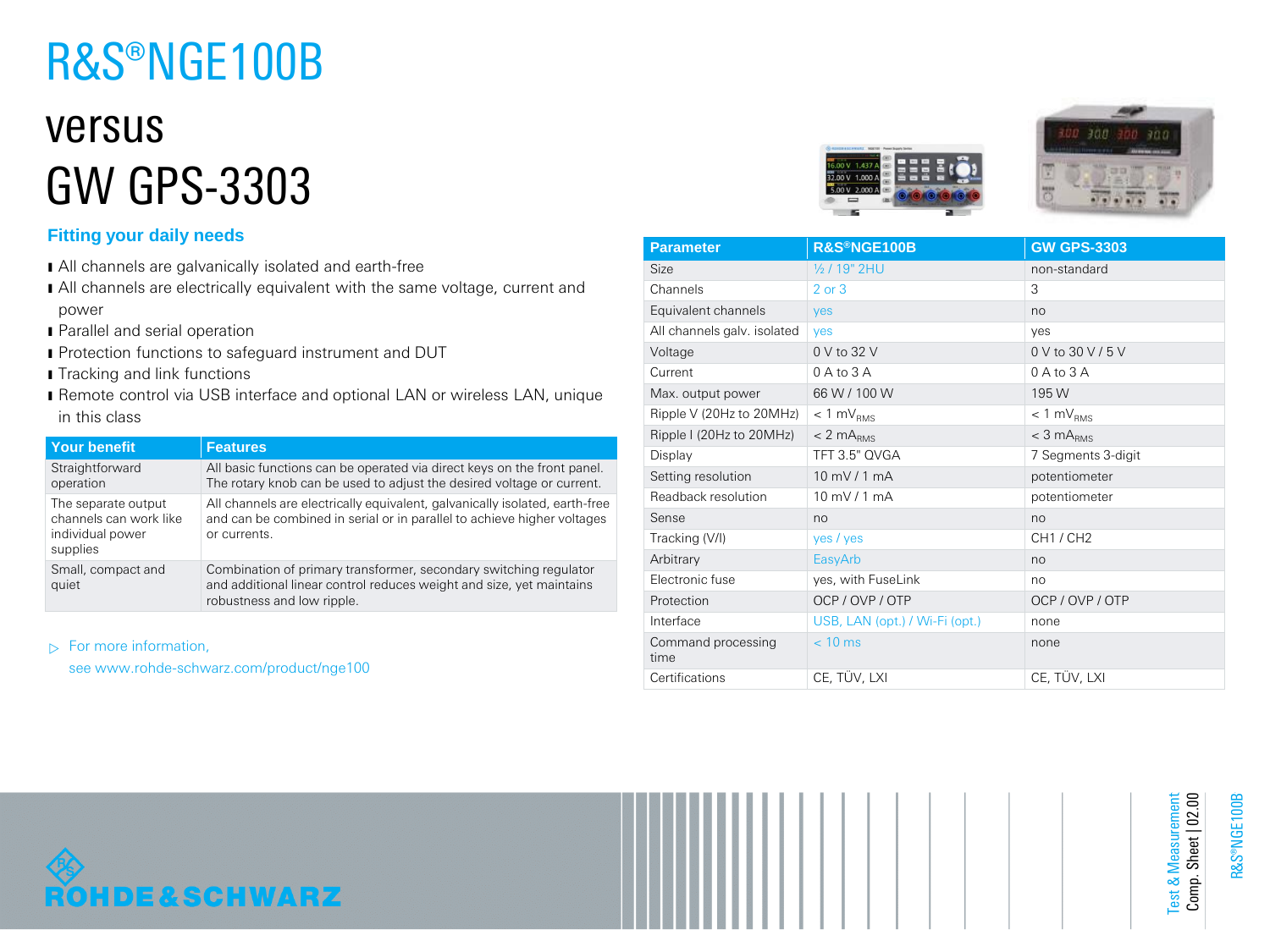# R&S®NGE100B

## versus GW GPS-3303

### **Fitting your daily needs**

- ı All channels are galvanically isolated and earth-free
- I All channels are electrically equivalent with the same voltage, current and power
- **I** Parallel and serial operation
- **I** Protection functions to safeguard instrument and DUT
- **I** Tracking and link functions
- ı Remote control via USB interface and optional LAN or wireless LAN, unique in this class

| Your benefit                                                                  | <b>Features</b>                                                                                                                                                         |
|-------------------------------------------------------------------------------|-------------------------------------------------------------------------------------------------------------------------------------------------------------------------|
| Straightforward<br>operation                                                  | All basic functions can be operated via direct keys on the front panel.<br>The rotary knob can be used to adjust the desired voltage or current.                        |
| The separate output<br>channels can work like<br>individual power<br>supplies | All channels are electrically equivalent, galvanically isolated, earth-free<br>and can be combined in serial or in parallel to achieve higher voltages<br>or currents.  |
| Small, compact and<br>quiet                                                   | Combination of primary transformer, secondary switching regulator<br>and additional linear control reduces weight and size, yet maintains<br>robustness and low ripple. |

 $\triangleright$  For more information,

see www.rohde-schwarz.com/product/nge100





| <b>Parameter</b>            | R&S®NGE100B                    | <b>GW GPS-3303</b> |
|-----------------------------|--------------------------------|--------------------|
| Size                        | 1/2 / 19" 2HU                  | non-standard       |
| Channels                    | $2$ or $3$                     | 3                  |
| Equivalent channels         | yes                            | no                 |
| All channels galv. isolated | <b>ves</b>                     | ves                |
| Voltage                     | 0 V to 32 V                    | 0 V to 30 V / 5 V  |
| Current                     | $0$ A to $3$ A                 | $0A$ to $3A$       |
| Max. output power           | 66 W / 100 W                   | 195 W              |
| Ripple V (20Hz to 20MHz)    | $< 1$ mV <sub>RMS</sub>        | $< 1$ mV $_{RMS}$  |
| Ripple I (20Hz to 20MHz)    | $< 2$ m $ARMS$                 | $<$ 3 m $A_{RMS}$  |
| Display                     | TFT 3.5" QVGA                  | 7 Segments 3-digit |
| Setting resolution          | 10 mV / 1 mA                   | potentiometer      |
| Readback resolution         | 10 mV / 1 mA                   | potentiometer      |
| Sense                       | no                             | no                 |
| Tracking (V/I)              | yes / yes                      | CH1 / CH2          |
| Arbitrary                   | EasyArb                        | no                 |
| Electronic fuse             | yes, with FuseLink             | no                 |
| Protection                  | OCP / OVP / OTP                | OCP / OVP / OTP    |
| Interface                   | USB, LAN (opt.) / Wi-Fi (opt.) | none               |
| Command processing<br>time  | $< 10$ ms                      | none               |
| Certifications              | CE, TÜV, LXI                   | CE, TÜV, LXI       |



Test & Measurement Comp. Sheet | 02.00

Test & Measurement<br>Comp. Sheet | 02.00